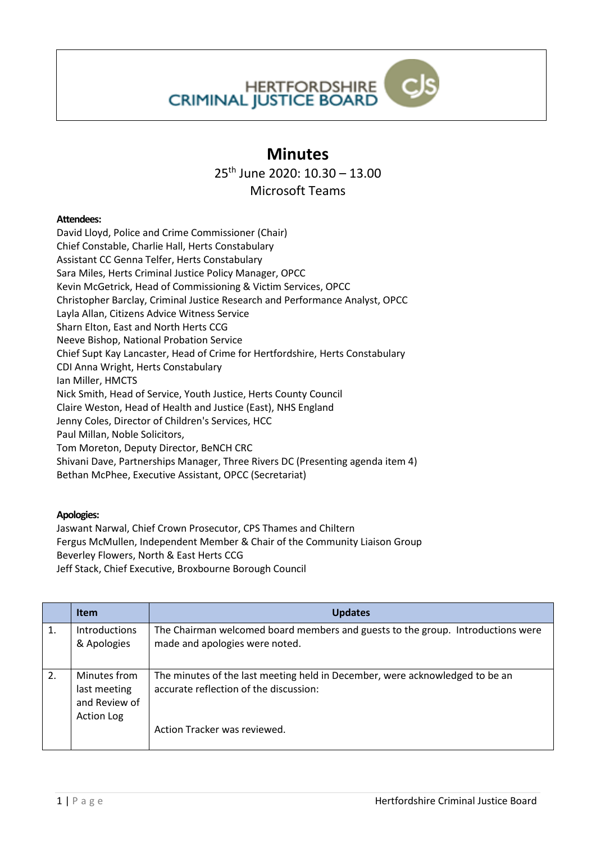

## **Minutes**

25th June 2020: 10.30 – 13.00

Microsoft Teams

## **Attendees:**

David Lloyd, Police and Crime Commissioner (Chair) Chief Constable, Charlie Hall, Herts Constabulary Assistant CC Genna Telfer, Herts Constabulary Sara Miles, Herts Criminal Justice Policy Manager, OPCC Kevin McGetrick, Head of Commissioning & Victim Services, OPCC Christopher Barclay, Criminal Justice Research and Performance Analyst, OPCC Layla Allan, Citizens Advice Witness Service Sharn Elton, East and North Herts CCG Neeve Bishop, National Probation Service Chief Supt Kay Lancaster, Head of Crime for Hertfordshire, Herts Constabulary CDI Anna Wright, Herts Constabulary Ian Miller, HMCTS Nick Smith, Head of Service, Youth Justice, Herts County Council Claire Weston, Head of Health and Justice (East), NHS England Jenny Coles, Director of Children's Services, HCC Paul Millan, Noble Solicitors, Tom Moreton, Deputy Director, BeNCH CRC Shivani Dave, Partnerships Manager, Three Rivers DC (Presenting agenda item 4) Bethan McPhee, Executive Assistant, OPCC (Secretariat)

## **Apologies:**

Jaswant Narwal, Chief Crown Prosecutor, CPS Thames and Chiltern Fergus McMullen, Independent Member & Chair of the Community Liaison Group Beverley Flowers, North & East Herts CCG Jeff Stack, Chief Executive, Broxbourne Borough Council

|    | <b>Item</b>                                                        | <b>Updates</b>                                                                                                                                         |
|----|--------------------------------------------------------------------|--------------------------------------------------------------------------------------------------------------------------------------------------------|
| 1. | Introductions<br>& Apologies                                       | The Chairman welcomed board members and guests to the group. Introductions were<br>made and apologies were noted.                                      |
| 2. | Minutes from<br>last meeting<br>and Review of<br><b>Action Log</b> | The minutes of the last meeting held in December, were acknowledged to be an<br>accurate reflection of the discussion:<br>Action Tracker was reviewed. |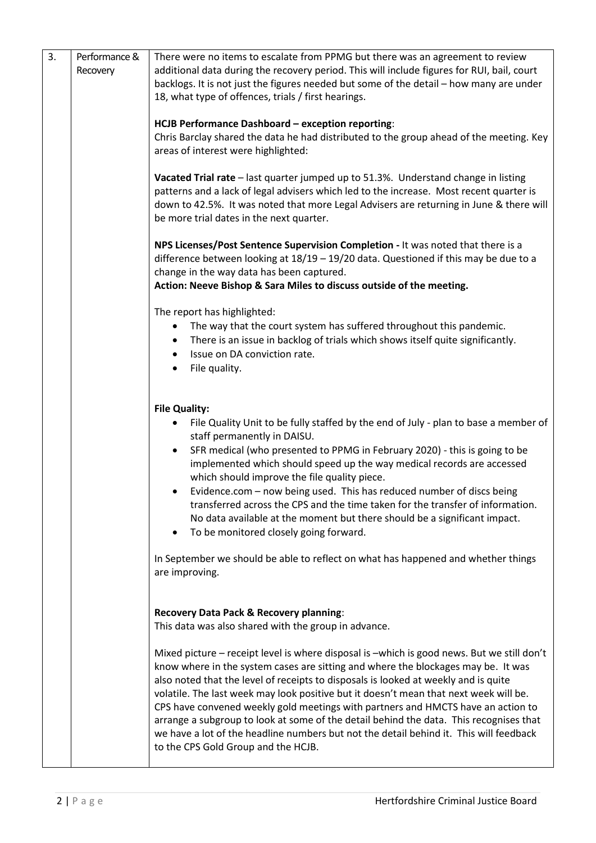| 3. | Performance & | There were no items to escalate from PPMG but there was an agreement to review                                                                                                                                                                                                                                                                                                                                                                                                                                                                                                                                                          |
|----|---------------|-----------------------------------------------------------------------------------------------------------------------------------------------------------------------------------------------------------------------------------------------------------------------------------------------------------------------------------------------------------------------------------------------------------------------------------------------------------------------------------------------------------------------------------------------------------------------------------------------------------------------------------------|
|    | Recovery      | additional data during the recovery period. This will include figures for RUI, bail, court<br>backlogs. It is not just the figures needed but some of the detail - how many are under                                                                                                                                                                                                                                                                                                                                                                                                                                                   |
|    |               | 18, what type of offences, trials / first hearings.                                                                                                                                                                                                                                                                                                                                                                                                                                                                                                                                                                                     |
|    |               | HCJB Performance Dashboard - exception reporting:                                                                                                                                                                                                                                                                                                                                                                                                                                                                                                                                                                                       |
|    |               | Chris Barclay shared the data he had distributed to the group ahead of the meeting. Key<br>areas of interest were highlighted:                                                                                                                                                                                                                                                                                                                                                                                                                                                                                                          |
|    |               | Vacated Trial rate - last quarter jumped up to 51.3%. Understand change in listing<br>patterns and a lack of legal advisers which led to the increase. Most recent quarter is<br>down to 42.5%. It was noted that more Legal Advisers are returning in June & there will<br>be more trial dates in the next quarter.                                                                                                                                                                                                                                                                                                                    |
|    |               | NPS Licenses/Post Sentence Supervision Completion - It was noted that there is a<br>difference between looking at $18/19 - 19/20$ data. Questioned if this may be due to a<br>change in the way data has been captured.                                                                                                                                                                                                                                                                                                                                                                                                                 |
|    |               | Action: Neeve Bishop & Sara Miles to discuss outside of the meeting.                                                                                                                                                                                                                                                                                                                                                                                                                                                                                                                                                                    |
|    |               | The report has highlighted:                                                                                                                                                                                                                                                                                                                                                                                                                                                                                                                                                                                                             |
|    |               | The way that the court system has suffered throughout this pandemic.<br>٠<br>There is an issue in backlog of trials which shows itself quite significantly.<br>٠                                                                                                                                                                                                                                                                                                                                                                                                                                                                        |
|    |               | Issue on DA conviction rate.                                                                                                                                                                                                                                                                                                                                                                                                                                                                                                                                                                                                            |
|    |               | File quality.                                                                                                                                                                                                                                                                                                                                                                                                                                                                                                                                                                                                                           |
|    |               | <b>File Quality:</b>                                                                                                                                                                                                                                                                                                                                                                                                                                                                                                                                                                                                                    |
|    |               | File Quality Unit to be fully staffed by the end of July - plan to base a member of<br>٠                                                                                                                                                                                                                                                                                                                                                                                                                                                                                                                                                |
|    |               | staff permanently in DAISU.<br>SFR medical (who presented to PPMG in February 2020) - this is going to be<br>$\bullet$                                                                                                                                                                                                                                                                                                                                                                                                                                                                                                                  |
|    |               | implemented which should speed up the way medical records are accessed                                                                                                                                                                                                                                                                                                                                                                                                                                                                                                                                                                  |
|    |               | which should improve the file quality piece.<br>Evidence.com - now being used. This has reduced number of discs being<br>$\bullet$                                                                                                                                                                                                                                                                                                                                                                                                                                                                                                      |
|    |               | transferred across the CPS and the time taken for the transfer of information.<br>No data available at the moment but there should be a significant impact.<br>To be monitored closely going forward.<br>٠                                                                                                                                                                                                                                                                                                                                                                                                                              |
|    |               | In September we should be able to reflect on what has happened and whether things                                                                                                                                                                                                                                                                                                                                                                                                                                                                                                                                                       |
|    |               | are improving.                                                                                                                                                                                                                                                                                                                                                                                                                                                                                                                                                                                                                          |
|    |               | Recovery Data Pack & Recovery planning:                                                                                                                                                                                                                                                                                                                                                                                                                                                                                                                                                                                                 |
|    |               | This data was also shared with the group in advance.                                                                                                                                                                                                                                                                                                                                                                                                                                                                                                                                                                                    |
|    |               | Mixed picture - receipt level is where disposal is -which is good news. But we still don't<br>know where in the system cases are sitting and where the blockages may be. It was<br>also noted that the level of receipts to disposals is looked at weekly and is quite<br>volatile. The last week may look positive but it doesn't mean that next week will be.<br>CPS have convened weekly gold meetings with partners and HMCTS have an action to<br>arrange a subgroup to look at some of the detail behind the data. This recognises that<br>we have a lot of the headline numbers but not the detail behind it. This will feedback |
|    |               | to the CPS Gold Group and the HCJB.                                                                                                                                                                                                                                                                                                                                                                                                                                                                                                                                                                                                     |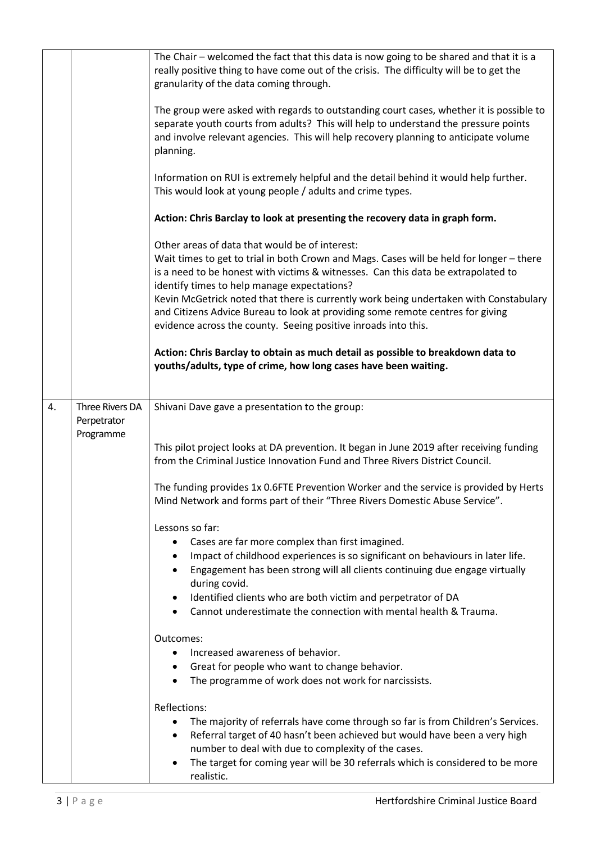|    |                                             | The Chair - welcomed the fact that this data is now going to be shared and that it is a<br>really positive thing to have come out of the crisis. The difficulty will be to get the<br>granularity of the data coming through.<br>The group were asked with regards to outstanding court cases, whether it is possible to<br>separate youth courts from adults? This will help to understand the pressure points<br>and involve relevant agencies. This will help recovery planning to anticipate volume<br>planning.<br>Information on RUI is extremely helpful and the detail behind it would help further.<br>This would look at young people / adults and crime types.<br>Action: Chris Barclay to look at presenting the recovery data in graph form.<br>Other areas of data that would be of interest:<br>Wait times to get to trial in both Crown and Mags. Cases will be held for longer - there<br>is a need to be honest with victims & witnesses. Can this data be extrapolated to<br>identify times to help manage expectations?<br>Kevin McGetrick noted that there is currently work being undertaken with Constabulary<br>and Citizens Advice Bureau to look at providing some remote centres for giving<br>evidence across the county. Seeing positive inroads into this.<br>Action: Chris Barclay to obtain as much detail as possible to breakdown data to<br>youths/adults, type of crime, how long cases have been waiting. |
|----|---------------------------------------------|------------------------------------------------------------------------------------------------------------------------------------------------------------------------------------------------------------------------------------------------------------------------------------------------------------------------------------------------------------------------------------------------------------------------------------------------------------------------------------------------------------------------------------------------------------------------------------------------------------------------------------------------------------------------------------------------------------------------------------------------------------------------------------------------------------------------------------------------------------------------------------------------------------------------------------------------------------------------------------------------------------------------------------------------------------------------------------------------------------------------------------------------------------------------------------------------------------------------------------------------------------------------------------------------------------------------------------------------------------------------------------------------------------------------------------------------|
| 4. | Three Rivers DA<br>Perpetrator<br>Programme | Shivani Dave gave a presentation to the group:<br>This pilot project looks at DA prevention. It began in June 2019 after receiving funding<br>from the Criminal Justice Innovation Fund and Three Rivers District Council.<br>The funding provides 1x 0.6FTE Prevention Worker and the service is provided by Herts<br>Mind Network and forms part of their "Three Rivers Domestic Abuse Service".<br>Lessons so far:<br>Cases are far more complex than first imagined.<br>Impact of childhood experiences is so significant on behaviours in later life.<br>Engagement has been strong will all clients continuing due engage virtually<br>during covid.<br>Identified clients who are both victim and perpetrator of DA<br>٠<br>Cannot underestimate the connection with mental health & Trauma.<br>Outcomes:<br>Increased awareness of behavior.<br>$\bullet$<br>Great for people who want to change behavior.<br>٠<br>The programme of work does not work for narcissists.<br>Reflections:<br>The majority of referrals have come through so far is from Children's Services.<br>Referral target of 40 hasn't been achieved but would have been a very high<br>$\bullet$<br>number to deal with due to complexity of the cases.<br>The target for coming year will be 30 referrals which is considered to be more<br>realistic.                                                                                                           |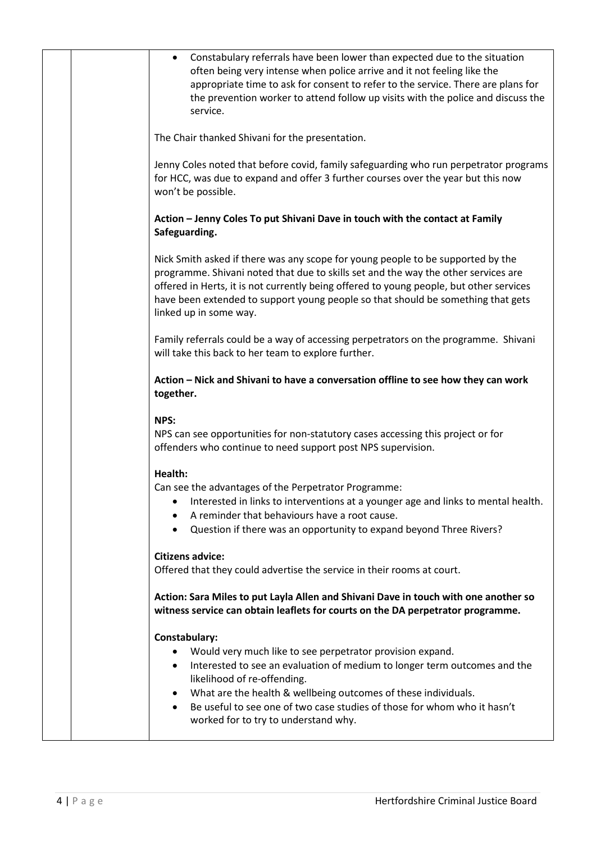|  | • Constabulary referrals have been lower than expected due to the situation<br>often being very intense when police arrive and it not feeling like the<br>appropriate time to ask for consent to refer to the service. There are plans for<br>the prevention worker to attend follow up visits with the police and discuss the<br>service.                                                |
|--|-------------------------------------------------------------------------------------------------------------------------------------------------------------------------------------------------------------------------------------------------------------------------------------------------------------------------------------------------------------------------------------------|
|  | The Chair thanked Shivani for the presentation.                                                                                                                                                                                                                                                                                                                                           |
|  | Jenny Coles noted that before covid, family safeguarding who run perpetrator programs<br>for HCC, was due to expand and offer 3 further courses over the year but this now<br>won't be possible.                                                                                                                                                                                          |
|  | Action - Jenny Coles To put Shivani Dave in touch with the contact at Family<br>Safeguarding.                                                                                                                                                                                                                                                                                             |
|  | Nick Smith asked if there was any scope for young people to be supported by the<br>programme. Shivani noted that due to skills set and the way the other services are<br>offered in Herts, it is not currently being offered to young people, but other services<br>have been extended to support young people so that should be something that gets<br>linked up in some way.            |
|  | Family referrals could be a way of accessing perpetrators on the programme. Shivani<br>will take this back to her team to explore further.                                                                                                                                                                                                                                                |
|  | Action - Nick and Shivani to have a conversation offline to see how they can work<br>together.                                                                                                                                                                                                                                                                                            |
|  | NPS:<br>NPS can see opportunities for non-statutory cases accessing this project or for<br>offenders who continue to need support post NPS supervision.                                                                                                                                                                                                                                   |
|  | Health:<br>Can see the advantages of the Perpetrator Programme:<br>Interested in links to interventions at a younger age and links to mental health.<br>A reminder that behaviours have a root cause.<br>Question if there was an opportunity to expand beyond Three Rivers?                                                                                                              |
|  | <b>Citizens advice:</b><br>Offered that they could advertise the service in their rooms at court.                                                                                                                                                                                                                                                                                         |
|  | Action: Sara Miles to put Layla Allen and Shivani Dave in touch with one another so<br>witness service can obtain leaflets for courts on the DA perpetrator programme.                                                                                                                                                                                                                    |
|  | Constabulary:<br>Would very much like to see perpetrator provision expand.<br>$\bullet$<br>Interested to see an evaluation of medium to longer term outcomes and the<br>likelihood of re-offending.<br>What are the health & wellbeing outcomes of these individuals.<br>Be useful to see one of two case studies of those for whom who it hasn't<br>worked for to try to understand why. |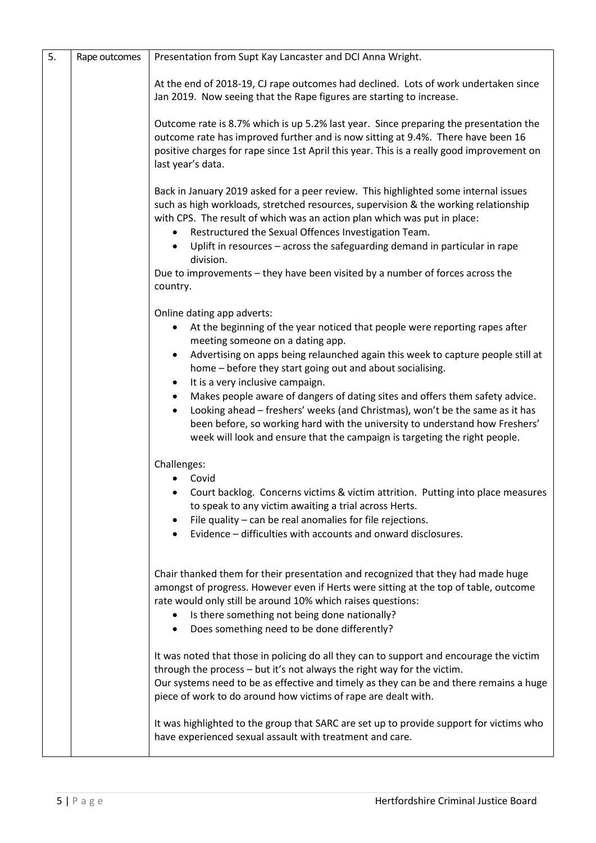| 5. | Rape outcomes | Presentation from Supt Kay Lancaster and DCI Anna Wright.                                                                                                                                                                                                                                                                                            |
|----|---------------|------------------------------------------------------------------------------------------------------------------------------------------------------------------------------------------------------------------------------------------------------------------------------------------------------------------------------------------------------|
|    |               | At the end of 2018-19, CJ rape outcomes had declined. Lots of work undertaken since<br>Jan 2019. Now seeing that the Rape figures are starting to increase.                                                                                                                                                                                          |
|    |               | Outcome rate is 8.7% which is up 5.2% last year. Since preparing the presentation the<br>outcome rate has improved further and is now sitting at 9.4%. There have been 16<br>positive charges for rape since 1st April this year. This is a really good improvement on<br>last year's data.                                                          |
|    |               | Back in January 2019 asked for a peer review. This highlighted some internal issues<br>such as high workloads, stretched resources, supervision & the working relationship<br>with CPS. The result of which was an action plan which was put in place:<br>Restructured the Sexual Offences Investigation Team.<br>$\bullet$                          |
|    |               | Uplift in resources - across the safeguarding demand in particular in rape<br>$\bullet$<br>division.<br>Due to improvements - they have been visited by a number of forces across the                                                                                                                                                                |
|    |               | country.                                                                                                                                                                                                                                                                                                                                             |
|    |               | Online dating app adverts:<br>At the beginning of the year noticed that people were reporting rapes after<br>٠<br>meeting someone on a dating app.                                                                                                                                                                                                   |
|    |               | Advertising on apps being relaunched again this week to capture people still at<br>٠<br>home - before they start going out and about socialising.<br>It is a very inclusive campaign.<br>$\bullet$                                                                                                                                                   |
|    |               | Makes people aware of dangers of dating sites and offers them safety advice.<br>$\bullet$<br>Looking ahead - freshers' weeks (and Christmas), won't be the same as it has<br>$\bullet$<br>been before, so working hard with the university to understand how Freshers'<br>week will look and ensure that the campaign is targeting the right people. |
|    |               | Challenges:                                                                                                                                                                                                                                                                                                                                          |
|    |               | Covid<br>Court backlog. Concerns victims & victim attrition. Putting into place measures<br>to speak to any victim awaiting a trial across Herts.<br>File quality - can be real anomalies for file rejections.                                                                                                                                       |
|    |               | Evidence – difficulties with accounts and onward disclosures.                                                                                                                                                                                                                                                                                        |
|    |               | Chair thanked them for their presentation and recognized that they had made huge<br>amongst of progress. However even if Herts were sitting at the top of table, outcome<br>rate would only still be around 10% which raises questions:<br>Is there something not being done nationally?<br>Does something need to be done differently?<br>$\bullet$ |
|    |               | It was noted that those in policing do all they can to support and encourage the victim<br>through the process - but it's not always the right way for the victim.<br>Our systems need to be as effective and timely as they can be and there remains a huge<br>piece of work to do around how victims of rape are dealt with.                       |
|    |               | It was highlighted to the group that SARC are set up to provide support for victims who<br>have experienced sexual assault with treatment and care.                                                                                                                                                                                                  |